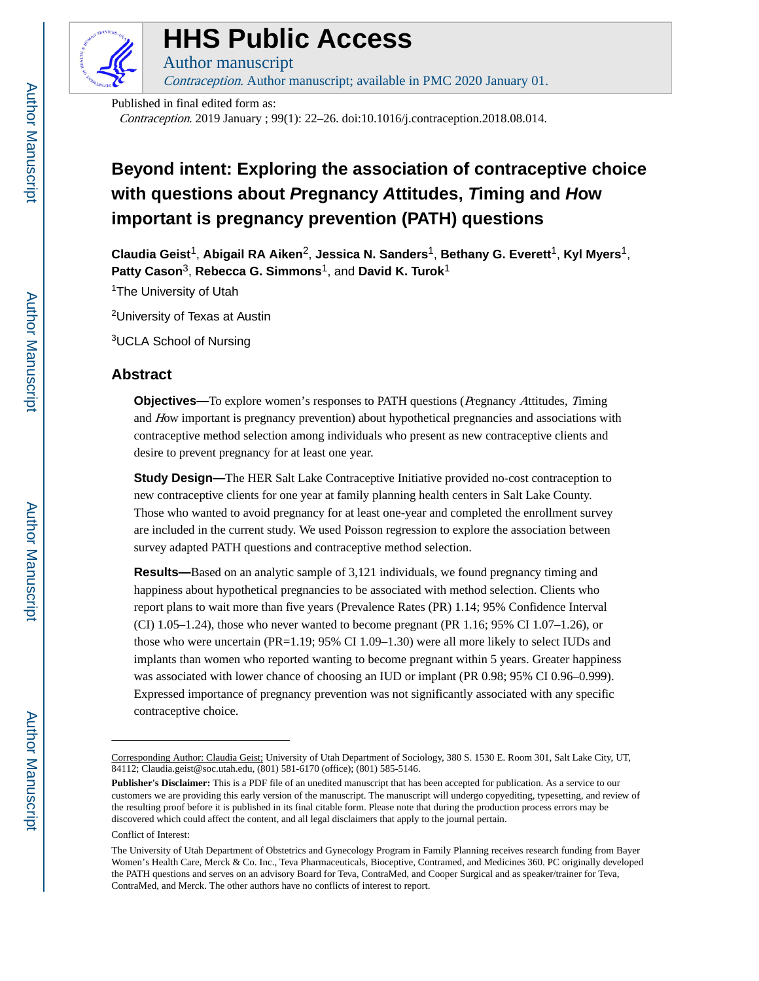

# **HHS Public Access**

Contraception. Author manuscript; available in PMC 2020 January 01.

Published in final edited form as:

Author manuscript

Contraception. 2019 January ; 99(1): 22–26. doi:10.1016/j.contraception.2018.08.014.

# **Beyond intent: Exploring the association of contraceptive choice with questions about Pregnancy Attitudes, Timing and How important is pregnancy prevention (PATH) questions**

**Claudia Geist**1, **Abigail RA Aiken**2, **Jessica N. Sanders**1, **Bethany G. Everett**1, **Kyl Myers**1, **Patty Cason**3, **Rebecca G. Simmons**1, and **David K. Turok**<sup>1</sup>

<sup>1</sup>The University of Utah

<sup>2</sup>University of Texas at Austin

<sup>3</sup>UCLA School of Nursing

### **Abstract**

**Objectives—**To explore women's responses to PATH questions (*Pregnancy Attitudes, Timing* and How important is pregnancy prevention) about hypothetical pregnancies and associations with contraceptive method selection among individuals who present as new contraceptive clients and desire to prevent pregnancy for at least one year.

**Study Design—**The HER Salt Lake Contraceptive Initiative provided no-cost contraception to new contraceptive clients for one year at family planning health centers in Salt Lake County. Those who wanted to avoid pregnancy for at least one-year and completed the enrollment survey are included in the current study. We used Poisson regression to explore the association between survey adapted PATH questions and contraceptive method selection.

**Results—**Based on an analytic sample of 3,121 individuals, we found pregnancy timing and happiness about hypothetical pregnancies to be associated with method selection. Clients who report plans to wait more than five years (Prevalence Rates (PR) 1.14; 95% Confidence Interval  $(CI)$  1.05–1.24), those who never wanted to become pregnant (PR 1.16; 95% CI 1.07–1.26), or those who were uncertain (PR=1.19; 95% CI 1.09–1.30) were all more likely to select IUDs and implants than women who reported wanting to become pregnant within 5 years. Greater happiness was associated with lower chance of choosing an IUD or implant (PR 0.98; 95% CI 0.96–0.999). Expressed importance of pregnancy prevention was not significantly associated with any specific contraceptive choice.

Corresponding Author: Claudia Geist; University of Utah Department of Sociology, 380 S. 1530 E. Room 301, Salt Lake City, UT, 84112; Claudia.geist@soc.utah.edu, (801) 581-6170 (office); (801) 585-5146.

**Publisher's Disclaimer:** This is a PDF file of an unedited manuscript that has been accepted for publication. As a service to our customers we are providing this early version of the manuscript. The manuscript will undergo copyediting, typesetting, and review of the resulting proof before it is published in its final citable form. Please note that during the production process errors may be discovered which could affect the content, and all legal disclaimers that apply to the journal pertain.

Conflict of Interest:

The University of Utah Department of Obstetrics and Gynecology Program in Family Planning receives research funding from Bayer Women's Health Care, Merck & Co. Inc., Teva Pharmaceuticals, Bioceptive, Contramed, and Medicines 360. PC originally developed the PATH questions and serves on an advisory Board for Teva, ContraMed, and Cooper Surgical and as speaker/trainer for Teva, ContraMed, and Merck. The other authors have no conflicts of interest to report.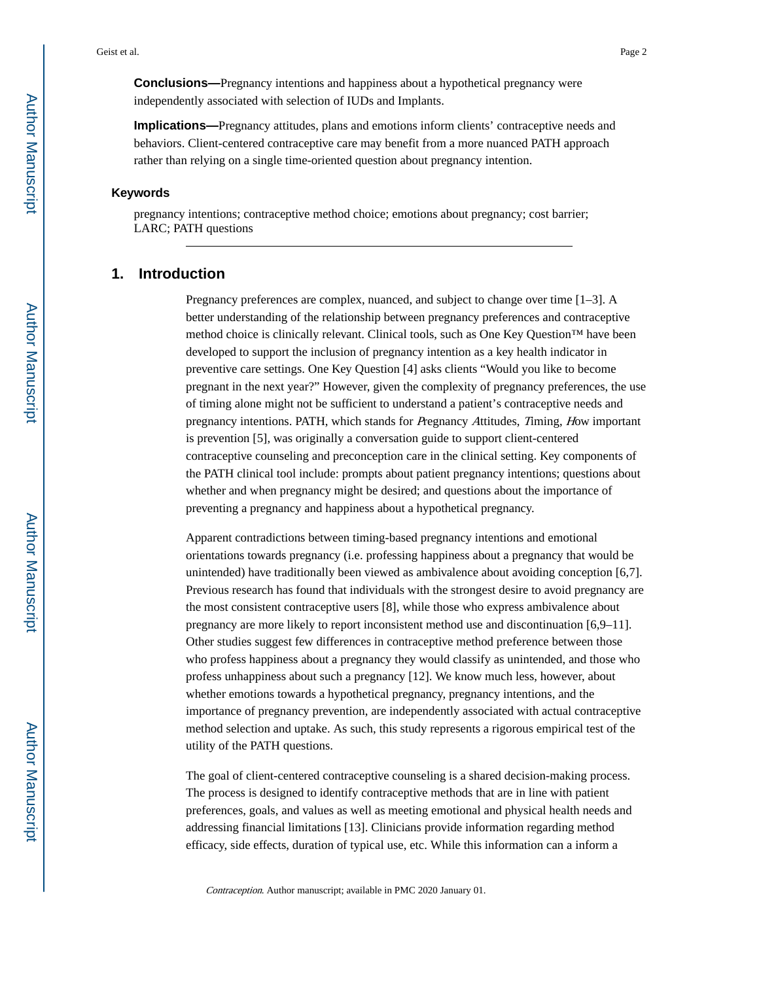**Conclusions—**Pregnancy intentions and happiness about a hypothetical pregnancy were independently associated with selection of IUDs and Implants.

**Implications—**Pregnancy attitudes, plans and emotions inform clients' contraceptive needs and behaviors. Client-centered contraceptive care may benefit from a more nuanced PATH approach rather than relying on a single time-oriented question about pregnancy intention.

#### **Keywords**

pregnancy intentions; contraceptive method choice; emotions about pregnancy; cost barrier; LARC; PATH questions

## **1. Introduction**

Pregnancy preferences are complex, nuanced, and subject to change over time [1–3]. A better understanding of the relationship between pregnancy preferences and contraceptive method choice is clinically relevant. Clinical tools, such as One Key Question™ have been developed to support the inclusion of pregnancy intention as a key health indicator in preventive care settings. One Key Question [4] asks clients "Would you like to become pregnant in the next year?" However, given the complexity of pregnancy preferences, the use of timing alone might not be sufficient to understand a patient's contraceptive needs and pregnancy intentions. PATH, which stands for Pregnancy Attitudes, Timing, How important is prevention [5], was originally a conversation guide to support client-centered contraceptive counseling and preconception care in the clinical setting. Key components of the PATH clinical tool include: prompts about patient pregnancy intentions; questions about whether and when pregnancy might be desired; and questions about the importance of preventing a pregnancy and happiness about a hypothetical pregnancy.

Apparent contradictions between timing-based pregnancy intentions and emotional orientations towards pregnancy (i.e. professing happiness about a pregnancy that would be unintended) have traditionally been viewed as ambivalence about avoiding conception [6,7]. Previous research has found that individuals with the strongest desire to avoid pregnancy are the most consistent contraceptive users [8], while those who express ambivalence about pregnancy are more likely to report inconsistent method use and discontinuation [6,9–11]. Other studies suggest few differences in contraceptive method preference between those who profess happiness about a pregnancy they would classify as unintended, and those who profess unhappiness about such a pregnancy [12]. We know much less, however, about whether emotions towards a hypothetical pregnancy, pregnancy intentions, and the importance of pregnancy prevention, are independently associated with actual contraceptive method selection and uptake. As such, this study represents a rigorous empirical test of the utility of the PATH questions.

The goal of client-centered contraceptive counseling is a shared decision-making process. The process is designed to identify contraceptive methods that are in line with patient preferences, goals, and values as well as meeting emotional and physical health needs and addressing financial limitations [13]. Clinicians provide information regarding method efficacy, side effects, duration of typical use, etc. While this information can a inform a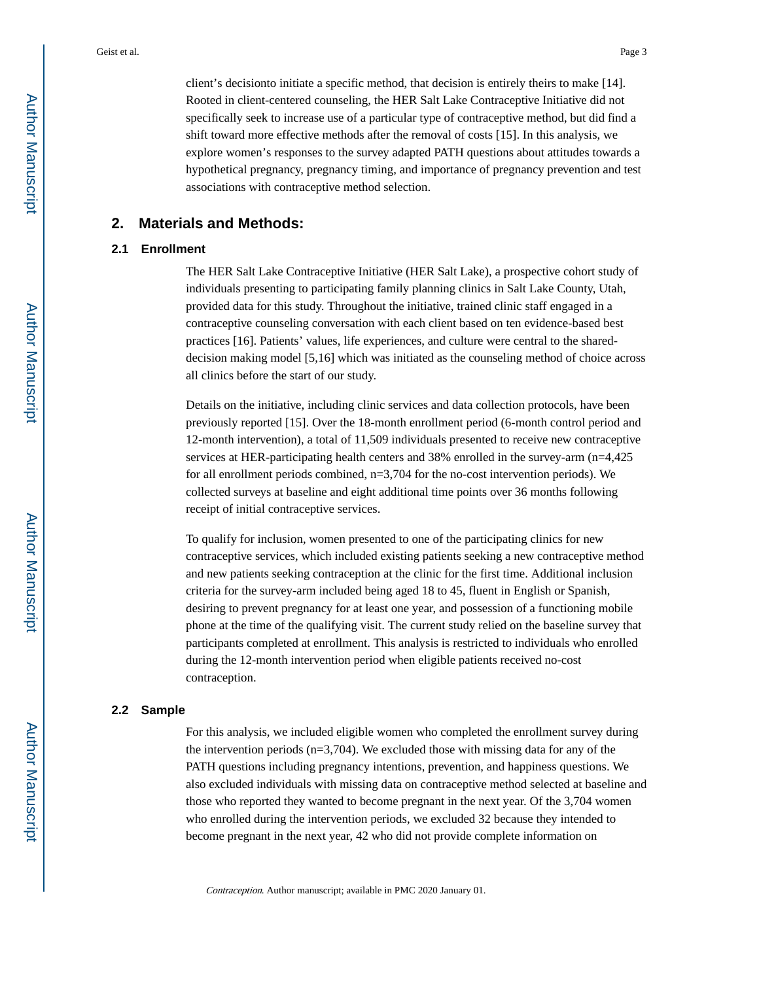client's decisionto initiate a specific method, that decision is entirely theirs to make [14]. Rooted in client-centered counseling, the HER Salt Lake Contraceptive Initiative did not specifically seek to increase use of a particular type of contraceptive method, but did find a shift toward more effective methods after the removal of costs [15]. In this analysis, we explore women's responses to the survey adapted PATH questions about attitudes towards a hypothetical pregnancy, pregnancy timing, and importance of pregnancy prevention and test associations with contraceptive method selection.

### **2. Materials and Methods:**

#### **2.1 Enrollment**

The HER Salt Lake Contraceptive Initiative (HER Salt Lake), a prospective cohort study of individuals presenting to participating family planning clinics in Salt Lake County, Utah, provided data for this study. Throughout the initiative, trained clinic staff engaged in a contraceptive counseling conversation with each client based on ten evidence-based best practices [16]. Patients' values, life experiences, and culture were central to the shareddecision making model [5,16] which was initiated as the counseling method of choice across all clinics before the start of our study.

Details on the initiative, including clinic services and data collection protocols, have been previously reported [15]. Over the 18-month enrollment period (6-month control period and 12-month intervention), a total of 11,509 individuals presented to receive new contraceptive services at HER-participating health centers and 38% enrolled in the survey-arm (n=4,425 for all enrollment periods combined, n=3,704 for the no-cost intervention periods). We collected surveys at baseline and eight additional time points over 36 months following receipt of initial contraceptive services.

To qualify for inclusion, women presented to one of the participating clinics for new contraceptive services, which included existing patients seeking a new contraceptive method and new patients seeking contraception at the clinic for the first time. Additional inclusion criteria for the survey-arm included being aged 18 to 45, fluent in English or Spanish, desiring to prevent pregnancy for at least one year, and possession of a functioning mobile phone at the time of the qualifying visit. The current study relied on the baseline survey that participants completed at enrollment. This analysis is restricted to individuals who enrolled during the 12-month intervention period when eligible patients received no-cost contraception.

#### **2.2 Sample**

For this analysis, we included eligible women who completed the enrollment survey during the intervention periods (n=3,704). We excluded those with missing data for any of the PATH questions including pregnancy intentions, prevention, and happiness questions. We also excluded individuals with missing data on contraceptive method selected at baseline and those who reported they wanted to become pregnant in the next year. Of the 3,704 women who enrolled during the intervention periods, we excluded 32 because they intended to become pregnant in the next year, 42 who did not provide complete information on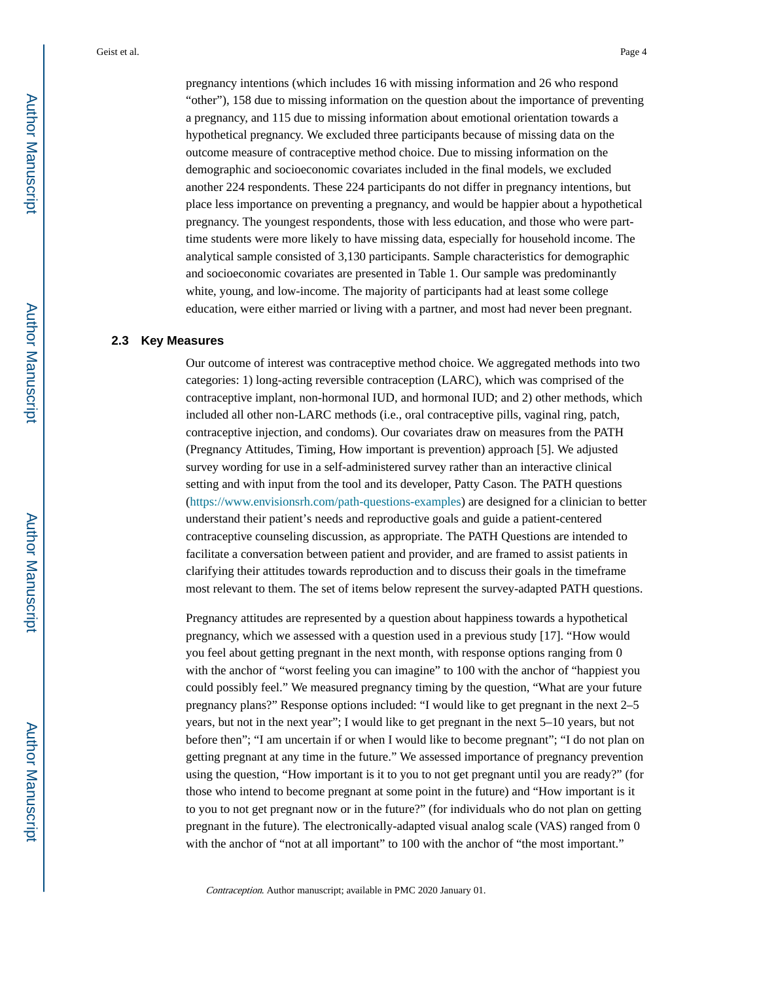pregnancy intentions (which includes 16 with missing information and 26 who respond "other"), 158 due to missing information on the question about the importance of preventing a pregnancy, and 115 due to missing information about emotional orientation towards a hypothetical pregnancy. We excluded three participants because of missing data on the outcome measure of contraceptive method choice. Due to missing information on the demographic and socioeconomic covariates included in the final models, we excluded another 224 respondents. These 224 participants do not differ in pregnancy intentions, but place less importance on preventing a pregnancy, and would be happier about a hypothetical pregnancy. The youngest respondents, those with less education, and those who were parttime students were more likely to have missing data, especially for household income. The analytical sample consisted of 3,130 participants. Sample characteristics for demographic and socioeconomic covariates are presented in Table 1. Our sample was predominantly white, young, and low-income. The majority of participants had at least some college education, were either married or living with a partner, and most had never been pregnant.

#### **2.3 Key Measures**

Our outcome of interest was contraceptive method choice. We aggregated methods into two categories: 1) long-acting reversible contraception (LARC), which was comprised of the contraceptive implant, non-hormonal IUD, and hormonal IUD; and 2) other methods, which included all other non-LARC methods (i.e., oral contraceptive pills, vaginal ring, patch, contraceptive injection, and condoms). Our covariates draw on measures from the PATH (Pregnancy Attitudes, Timing, How important is prevention) approach [5]. We adjusted survey wording for use in a self-administered survey rather than an interactive clinical setting and with input from the tool and its developer, Patty Cason. The PATH questions [\(https://www.envisionsrh.com/path-questions-examples](https://www.envisionsrh.com/path-questions-examples)) are designed for a clinician to better understand their patient's needs and reproductive goals and guide a patient-centered contraceptive counseling discussion, as appropriate. The PATH Questions are intended to facilitate a conversation between patient and provider, and are framed to assist patients in clarifying their attitudes towards reproduction and to discuss their goals in the timeframe most relevant to them. The set of items below represent the survey-adapted PATH questions.

Pregnancy attitudes are represented by a question about happiness towards a hypothetical pregnancy, which we assessed with a question used in a previous study [17]. "How would you feel about getting pregnant in the next month, with response options ranging from 0 with the anchor of "worst feeling you can imagine" to 100 with the anchor of "happiest you could possibly feel." We measured pregnancy timing by the question, "What are your future pregnancy plans?" Response options included: "I would like to get pregnant in the next 2–5 years, but not in the next year"; I would like to get pregnant in the next 5–10 years, but not before then"; "I am uncertain if or when I would like to become pregnant"; "I do not plan on getting pregnant at any time in the future." We assessed importance of pregnancy prevention using the question, "How important is it to you to not get pregnant until you are ready?" (for those who intend to become pregnant at some point in the future) and "How important is it to you to not get pregnant now or in the future?" (for individuals who do not plan on getting pregnant in the future). The electronically-adapted visual analog scale (VAS) ranged from 0 with the anchor of "not at all important" to 100 with the anchor of "the most important."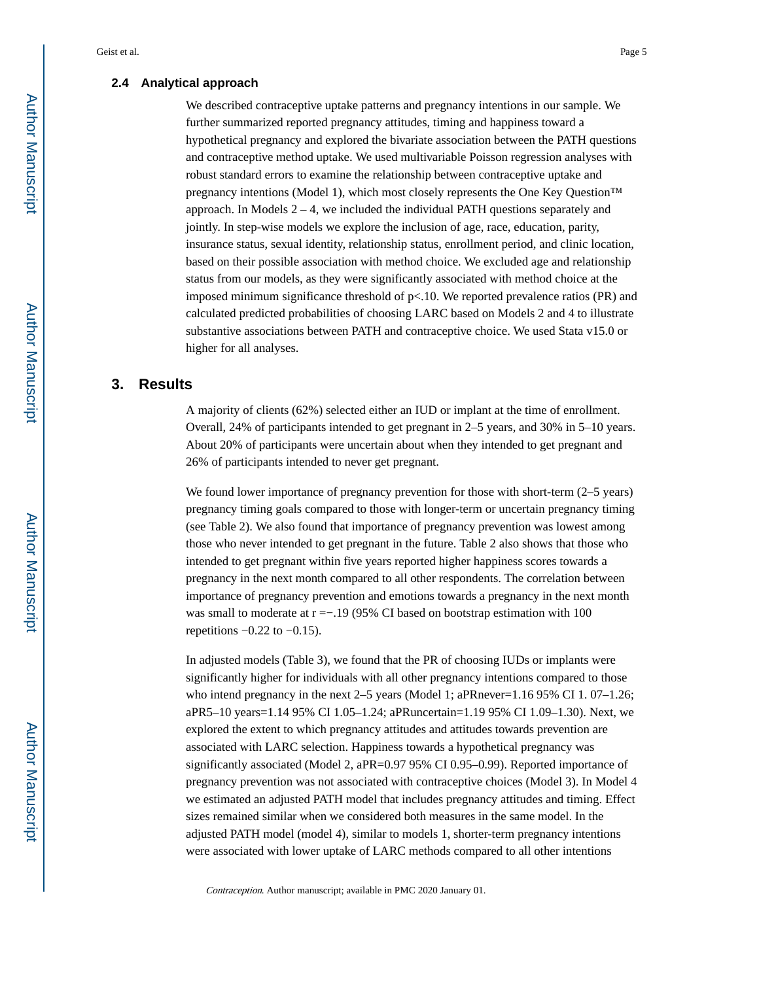#### **2.4 Analytical approach**

We described contraceptive uptake patterns and pregnancy intentions in our sample. We further summarized reported pregnancy attitudes, timing and happiness toward a hypothetical pregnancy and explored the bivariate association between the PATH questions and contraceptive method uptake. We used multivariable Poisson regression analyses with robust standard errors to examine the relationship between contraceptive uptake and pregnancy intentions (Model 1), which most closely represents the One Key Question™ approach. In Models  $2 - 4$ , we included the individual PATH questions separately and jointly. In step-wise models we explore the inclusion of age, race, education, parity, insurance status, sexual identity, relationship status, enrollment period, and clinic location, based on their possible association with method choice. We excluded age and relationship status from our models, as they were significantly associated with method choice at the imposed minimum significance threshold of  $p<10$ . We reported prevalence ratios (PR) and calculated predicted probabilities of choosing LARC based on Models 2 and 4 to illustrate substantive associations between PATH and contraceptive choice. We used Stata v15.0 or higher for all analyses.

# **3. Results**

A majority of clients (62%) selected either an IUD or implant at the time of enrollment. Overall, 24% of participants intended to get pregnant in 2–5 years, and 30% in 5–10 years. About 20% of participants were uncertain about when they intended to get pregnant and 26% of participants intended to never get pregnant.

We found lower importance of pregnancy prevention for those with short-term (2–5 years) pregnancy timing goals compared to those with longer-term or uncertain pregnancy timing (see Table 2). We also found that importance of pregnancy prevention was lowest among those who never intended to get pregnant in the future. Table 2 also shows that those who intended to get pregnant within five years reported higher happiness scores towards a pregnancy in the next month compared to all other respondents. The correlation between importance of pregnancy prevention and emotions towards a pregnancy in the next month was small to moderate at r =−.19 (95% CI based on bootstrap estimation with 100 repetitions  $-0.22$  to  $-0.15$ ).

In adjusted models (Table 3), we found that the PR of choosing IUDs or implants were significantly higher for individuals with all other pregnancy intentions compared to those who intend pregnancy in the next 2–5 years (Model 1; aPRnever=1.16 95% CI 1.07–1.26; aPR5–10 years=1.14 95% CI 1.05–1.24; aPRuncertain=1.19 95% CI 1.09–1.30). Next, we explored the extent to which pregnancy attitudes and attitudes towards prevention are associated with LARC selection. Happiness towards a hypothetical pregnancy was significantly associated (Model 2, aPR=0.97 95% CI 0.95–0.99). Reported importance of pregnancy prevention was not associated with contraceptive choices (Model 3). In Model 4 we estimated an adjusted PATH model that includes pregnancy attitudes and timing. Effect sizes remained similar when we considered both measures in the same model. In the adjusted PATH model (model 4), similar to models 1, shorter-term pregnancy intentions were associated with lower uptake of LARC methods compared to all other intentions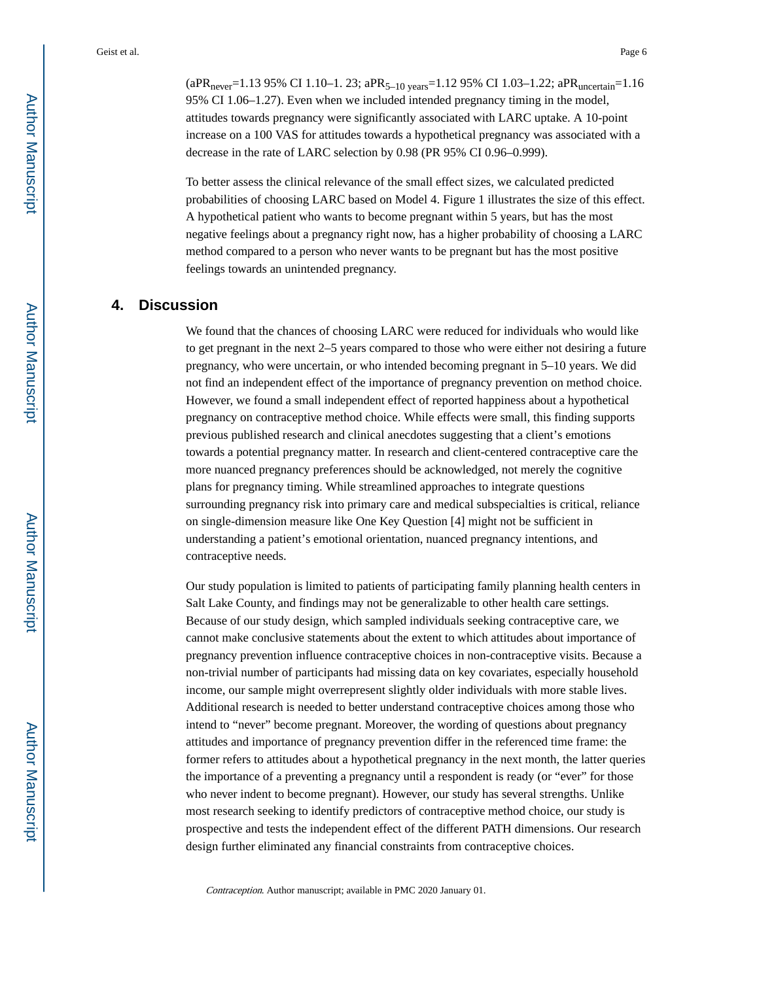$(aPR<sub>never</sub>=1.13 95% CI 1.10-1.23; aPR<sub>5-10 years</sub>=1.12 95% CI 1.03-1.22; aPR<sub>uncertain</sub>=1.16$ 95% CI 1.06–1.27). Even when we included intended pregnancy timing in the model, attitudes towards pregnancy were significantly associated with LARC uptake. A 10-point increase on a 100 VAS for attitudes towards a hypothetical pregnancy was associated with a decrease in the rate of LARC selection by 0.98 (PR 95% CI 0.96–0.999).

To better assess the clinical relevance of the small effect sizes, we calculated predicted probabilities of choosing LARC based on Model 4. Figure 1 illustrates the size of this effect. A hypothetical patient who wants to become pregnant within 5 years, but has the most negative feelings about a pregnancy right now, has a higher probability of choosing a LARC method compared to a person who never wants to be pregnant but has the most positive feelings towards an unintended pregnancy.

# **4. Discussion**

We found that the chances of choosing LARC were reduced for individuals who would like to get pregnant in the next 2–5 years compared to those who were either not desiring a future pregnancy, who were uncertain, or who intended becoming pregnant in 5–10 years. We did not find an independent effect of the importance of pregnancy prevention on method choice. However, we found a small independent effect of reported happiness about a hypothetical pregnancy on contraceptive method choice. While effects were small, this finding supports previous published research and clinical anecdotes suggesting that a client's emotions towards a potential pregnancy matter. In research and client-centered contraceptive care the more nuanced pregnancy preferences should be acknowledged, not merely the cognitive plans for pregnancy timing. While streamlined approaches to integrate questions surrounding pregnancy risk into primary care and medical subspecialties is critical, reliance on single-dimension measure like One Key Question [4] might not be sufficient in understanding a patient's emotional orientation, nuanced pregnancy intentions, and contraceptive needs.

Our study population is limited to patients of participating family planning health centers in Salt Lake County, and findings may not be generalizable to other health care settings. Because of our study design, which sampled individuals seeking contraceptive care, we cannot make conclusive statements about the extent to which attitudes about importance of pregnancy prevention influence contraceptive choices in non-contraceptive visits. Because a non-trivial number of participants had missing data on key covariates, especially household income, our sample might overrepresent slightly older individuals with more stable lives. Additional research is needed to better understand contraceptive choices among those who intend to "never" become pregnant. Moreover, the wording of questions about pregnancy attitudes and importance of pregnancy prevention differ in the referenced time frame: the former refers to attitudes about a hypothetical pregnancy in the next month, the latter queries the importance of a preventing a pregnancy until a respondent is ready (or "ever" for those who never indent to become pregnant). However, our study has several strengths. Unlike most research seeking to identify predictors of contraceptive method choice, our study is prospective and tests the independent effect of the different PATH dimensions. Our research design further eliminated any financial constraints from contraceptive choices.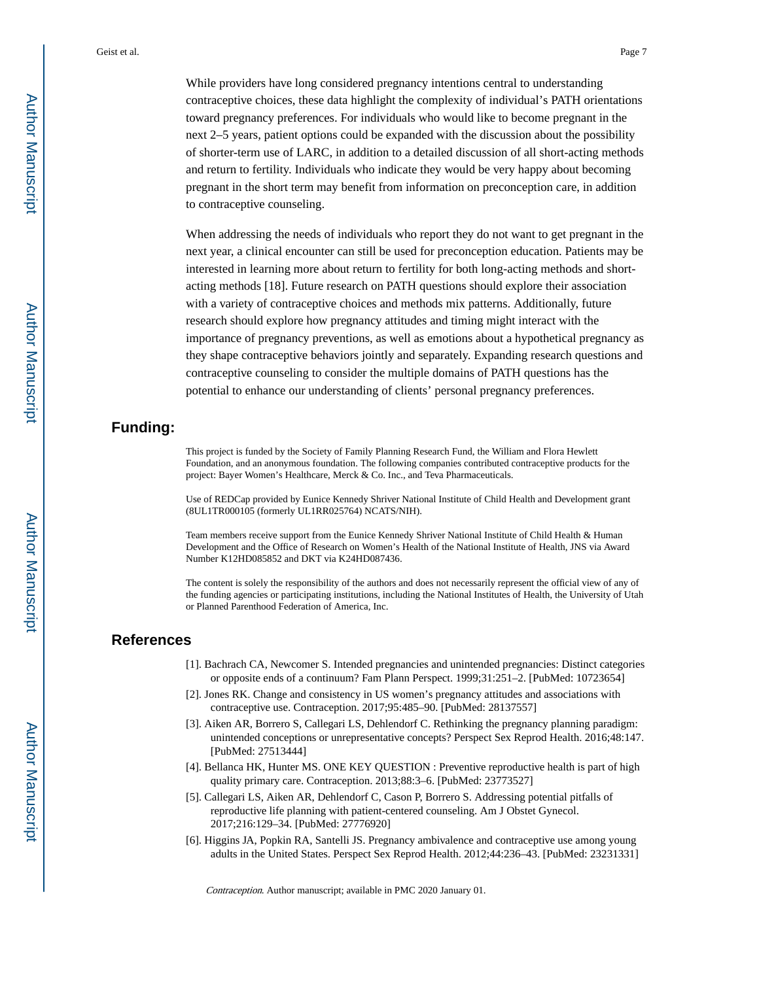While providers have long considered pregnancy intentions central to understanding contraceptive choices, these data highlight the complexity of individual's PATH orientations toward pregnancy preferences. For individuals who would like to become pregnant in the next 2–5 years, patient options could be expanded with the discussion about the possibility of shorter-term use of LARC, in addition to a detailed discussion of all short-acting methods and return to fertility. Individuals who indicate they would be very happy about becoming pregnant in the short term may benefit from information on preconception care, in addition to contraceptive counseling.

When addressing the needs of individuals who report they do not want to get pregnant in the next year, a clinical encounter can still be used for preconception education. Patients may be interested in learning more about return to fertility for both long-acting methods and shortacting methods [18]. Future research on PATH questions should explore their association with a variety of contraceptive choices and methods mix patterns. Additionally, future research should explore how pregnancy attitudes and timing might interact with the importance of pregnancy preventions, as well as emotions about a hypothetical pregnancy as they shape contraceptive behaviors jointly and separately. Expanding research questions and contraceptive counseling to consider the multiple domains of PATH questions has the potential to enhance our understanding of clients' personal pregnancy preferences.

# **Funding:**

This project is funded by the Society of Family Planning Research Fund, the William and Flora Hewlett Foundation, and an anonymous foundation. The following companies contributed contraceptive products for the project: Bayer Women's Healthcare, Merck & Co. Inc., and Teva Pharmaceuticals.

Use of REDCap provided by Eunice Kennedy Shriver National Institute of Child Health and Development grant (8UL1TR000105 (formerly UL1RR025764) NCATS/NIH).

Team members receive support from the Eunice Kennedy Shriver National Institute of Child Health & Human Development and the Office of Research on Women's Health of the National Institute of Health, JNS via Award Number K12HD085852 and DKT via K24HD087436.

The content is solely the responsibility of the authors and does not necessarily represent the official view of any of the funding agencies or participating institutions, including the National Institutes of Health, the University of Utah or Planned Parenthood Federation of America, Inc.

### **References**

- [1]. Bachrach CA, Newcomer S. Intended pregnancies and unintended pregnancies: Distinct categories or opposite ends of a continuum? Fam Plann Perspect. 1999;31:251–2. [PubMed: 10723654]
- [2]. Jones RK. Change and consistency in US women's pregnancy attitudes and associations with contraceptive use. Contraception. 2017;95:485–90. [PubMed: 28137557]
- [3]. Aiken AR, Borrero S, Callegari LS, Dehlendorf C. Rethinking the pregnancy planning paradigm: unintended conceptions or unrepresentative concepts? Perspect Sex Reprod Health. 2016;48:147. [PubMed: 27513444]
- [4]. Bellanca HK, Hunter MS. ONE KEY QUESTION : Preventive reproductive health is part of high quality primary care. Contraception. 2013;88:3–6. [PubMed: 23773527]
- [5]. Callegari LS, Aiken AR, Dehlendorf C, Cason P, Borrero S. Addressing potential pitfalls of reproductive life planning with patient-centered counseling. Am J Obstet Gynecol. 2017;216:129–34. [PubMed: 27776920]
- [6]. Higgins JA, Popkin RA, Santelli JS. Pregnancy ambivalence and contraceptive use among young adults in the United States. Perspect Sex Reprod Health. 2012;44:236–43. [PubMed: 23231331]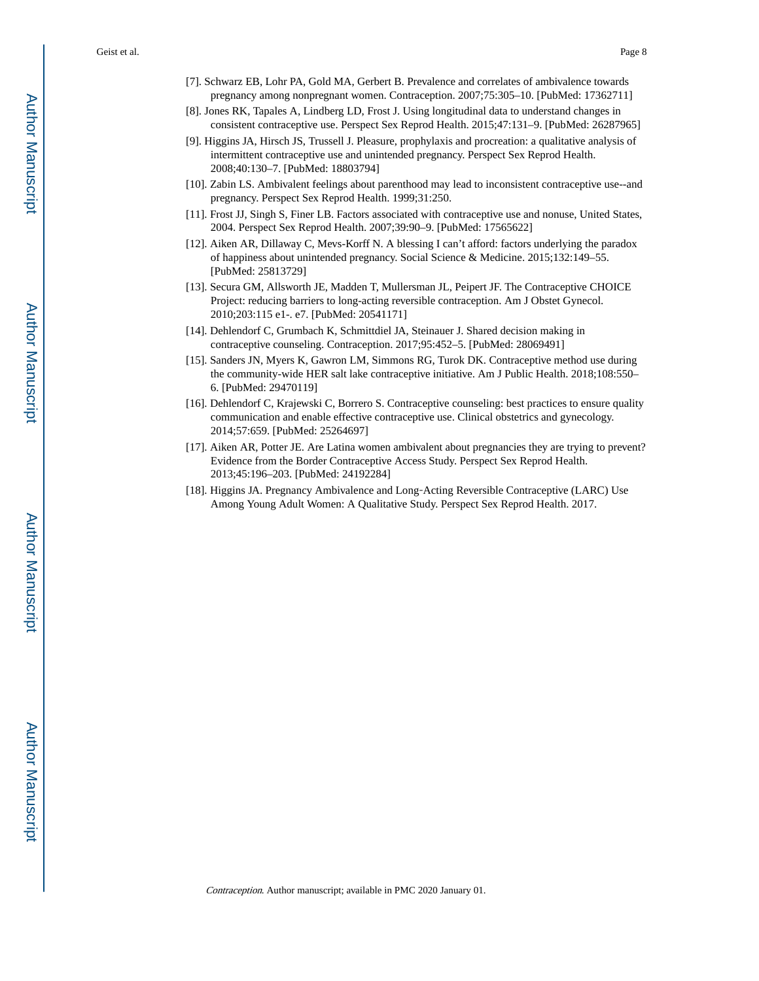- [7]. Schwarz EB, Lohr PA, Gold MA, Gerbert B. Prevalence and correlates of ambivalence towards pregnancy among nonpregnant women. Contraception. 2007;75:305–10. [PubMed: 17362711]
- [8]. Jones RK, Tapales A, Lindberg LD, Frost J. Using longitudinal data to understand changes in consistent contraceptive use. Perspect Sex Reprod Health. 2015;47:131–9. [PubMed: 26287965]
- [9]. Higgins JA, Hirsch JS, Trussell J. Pleasure, prophylaxis and procreation: a qualitative analysis of intermittent contraceptive use and unintended pregnancy. Perspect Sex Reprod Health. 2008;40:130–7. [PubMed: 18803794]
- [10]. Zabin LS. Ambivalent feelings about parenthood may lead to inconsistent contraceptive use--and pregnancy. Perspect Sex Reprod Health. 1999;31:250.
- [11]. Frost JJ, Singh S, Finer LB. Factors associated with contraceptive use and nonuse, United States, 2004. Perspect Sex Reprod Health. 2007;39:90–9. [PubMed: 17565622]
- [12]. Aiken AR, Dillaway C, Mevs-Korff N. A blessing I can't afford: factors underlying the paradox of happiness about unintended pregnancy. Social Science & Medicine. 2015;132:149–55. [PubMed: 25813729]
- [13]. Secura GM, Allsworth JE, Madden T, Mullersman JL, Peipert JF. The Contraceptive CHOICE Project: reducing barriers to long-acting reversible contraception. Am J Obstet Gynecol. 2010;203:115 e1-. e7. [PubMed: 20541171]
- [14]. Dehlendorf C, Grumbach K, Schmittdiel JA, Steinauer J. Shared decision making in contraceptive counseling. Contraception. 2017;95:452–5. [PubMed: 28069491]
- [15]. Sanders JN, Myers K, Gawron LM, Simmons RG, Turok DK. Contraceptive method use during the community-wide HER salt lake contraceptive initiative. Am J Public Health. 2018;108:550– 6. [PubMed: 29470119]
- [16]. Dehlendorf C, Krajewski C, Borrero S. Contraceptive counseling: best practices to ensure quality communication and enable effective contraceptive use. Clinical obstetrics and gynecology. 2014;57:659. [PubMed: 25264697]
- [17]. Aiken AR, Potter JE. Are Latina women ambivalent about pregnancies they are trying to prevent? Evidence from the Border Contraceptive Access Study. Perspect Sex Reprod Health. 2013;45:196–203. [PubMed: 24192284]
- [18]. Higgins JA. Pregnancy Ambivalence and Long‐Acting Reversible Contraceptive (LARC) Use Among Young Adult Women: A Qualitative Study. Perspect Sex Reprod Health. 2017.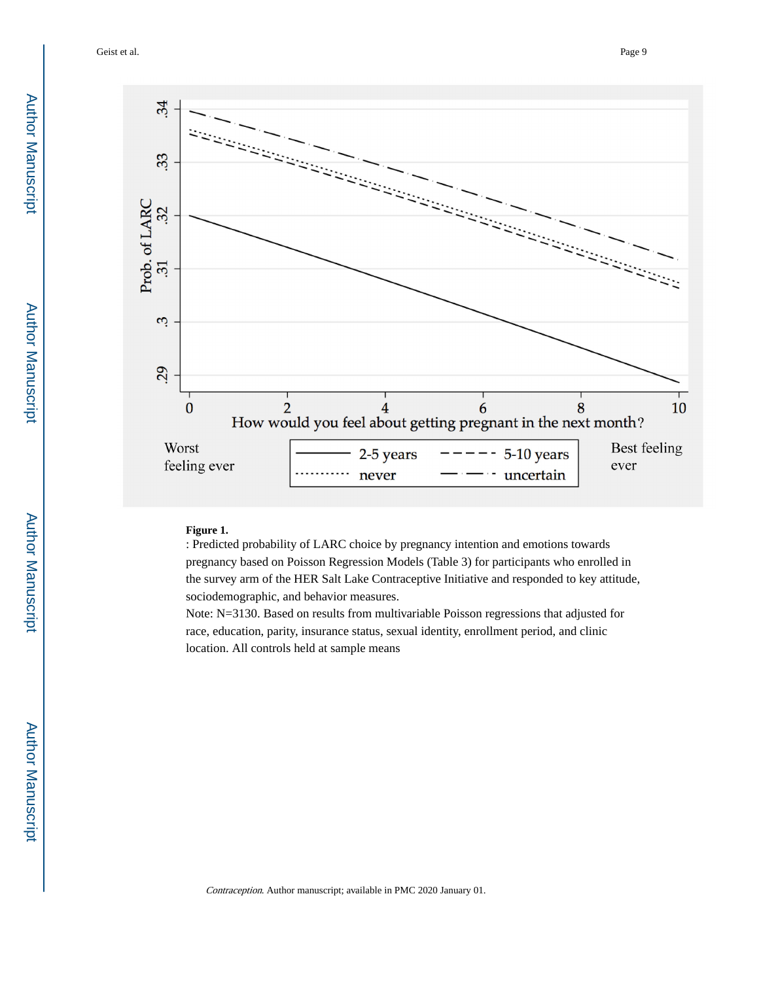Geist et al. Page 9



**Figure 1.** 

: Predicted probability of LARC choice by pregnancy intention and emotions towards pregnancy based on Poisson Regression Models (Table 3) for participants who enrolled in the survey arm of the HER Salt Lake Contraceptive Initiative and responded to key attitude, sociodemographic, and behavior measures.

Note: N=3130. Based on results from multivariable Poisson regressions that adjusted for race, education, parity, insurance status, sexual identity, enrollment period, and clinic location. All controls held at sample means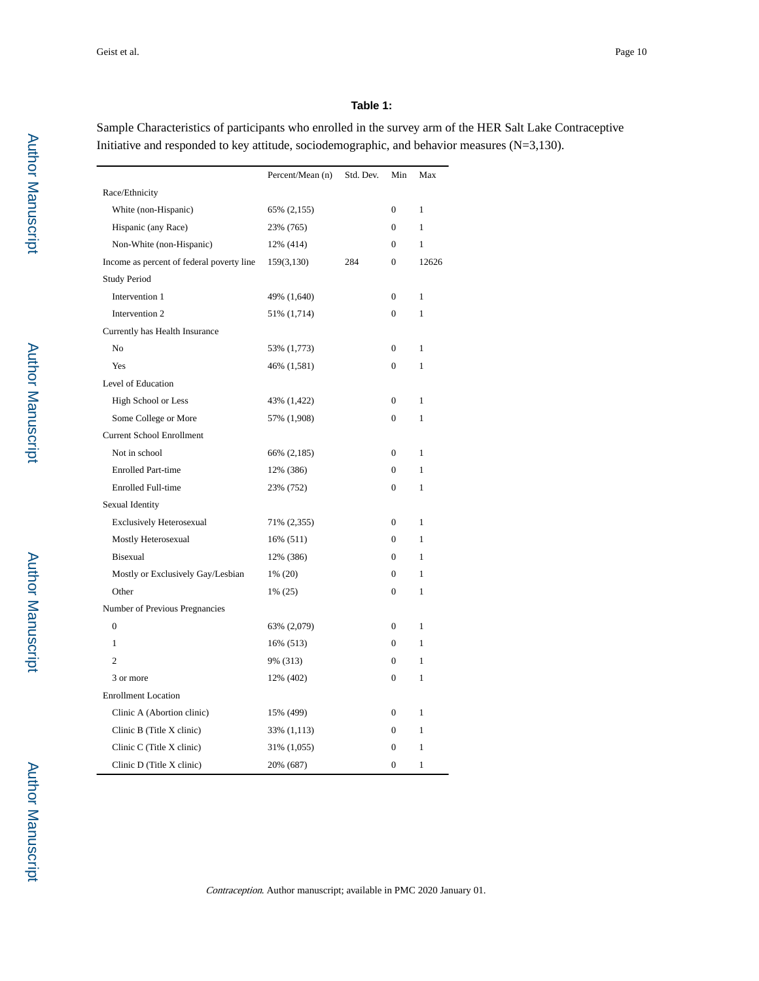#### **Table 1:**

Sample Characteristics of participants who enrolled in the survey arm of the HER Salt Lake Contraceptive Initiative and responded to key attitude, sociodemographic, and behavior measures (N=3,130).

|                                           | Percent/Mean (n) | Std. Dev. | Min              | Max          |
|-------------------------------------------|------------------|-----------|------------------|--------------|
| Race/Ethnicity                            |                  |           |                  |              |
| White (non-Hispanic)                      | 65% (2,155)      |           | $\overline{0}$   | 1            |
| Hispanic (any Race)                       | 23% (765)        |           | $\boldsymbol{0}$ | $\mathbf{1}$ |
| Non-White (non-Hispanic)                  | 12% (414)        |           | $\mathbf{0}$     | 1            |
| Income as percent of federal poverty line | 159(3,130)       | 284       | $\mathbf{0}$     | 12626        |
| <b>Study Period</b>                       |                  |           |                  |              |
| Intervention 1                            | 49% (1,640)      |           | $\boldsymbol{0}$ | $\mathbf{1}$ |
| Intervention 2                            | 51% (1,714)      |           | $\mathbf{0}$     | 1            |
| Currently has Health Insurance            |                  |           |                  |              |
| No                                        | 53% (1,773)      |           | $\Omega$         | 1            |
| Yes                                       | 46% (1,581)      |           | $\overline{0}$   | $\mathbf{1}$ |
| Level of Education                        |                  |           |                  |              |
| High School or Less                       | 43% (1,422)      |           | $\overline{0}$   | $\mathbf{1}$ |
| Some College or More                      | 57% (1,908)      |           | $\Omega$         | 1            |
| <b>Current School Enrollment</b>          |                  |           |                  |              |
| Not in school                             | 66% (2,185)      |           | $\mathbf{0}$     | 1            |
| <b>Enrolled Part-time</b>                 | 12% (386)        |           | $\overline{0}$   | $\mathbf{1}$ |
| Enrolled Full-time                        | 23% (752)        |           | $\overline{0}$   | $\mathbf{1}$ |
| Sexual Identity                           |                  |           |                  |              |
| <b>Exclusively Heterosexual</b>           | 71% (2,355)      |           | $\overline{0}$   | $\mathbf{1}$ |
| Mostly Heterosexual                       | 16% (511)        |           | $\mathbf{0}$     | 1            |
| Bisexual                                  | 12% (386)        |           | $\overline{0}$   | $\mathbf{1}$ |
| Mostly or Exclusively Gay/Lesbian         | 1% (20)          |           | $\mathbf{0}$     | 1            |
| Other                                     | 1% (25)          |           | $\overline{0}$   | 1            |
| Number of Previous Pregnancies            |                  |           |                  |              |
| $\boldsymbol{0}$                          | 63% (2,079)      |           | $\boldsymbol{0}$ | $\mathbf{1}$ |
| $\mathbf{1}$                              | 16% (513)        |           | $\mathbf{0}$     | 1            |
| $\overline{2}$                            | 9% (313)         |           | $\Omega$         | 1            |
| 3 or more                                 | 12% (402)        |           | $\Omega$         | 1            |
| <b>Enrollment Location</b>                |                  |           |                  |              |
| Clinic A (Abortion clinic)                | 15% (499)        |           | $\mathbf{0}$     | 1            |
| Clinic B (Title X clinic)                 | 33% (1,113)      |           | $\mathbf{0}$     | $\mathbf{1}$ |
| Clinic C (Title X clinic)                 | 31% (1,055)      |           | $\Omega$         | 1            |
| Clinic D (Title X clinic)                 | 20% (687)        |           | $\overline{0}$   | $\mathbf{1}$ |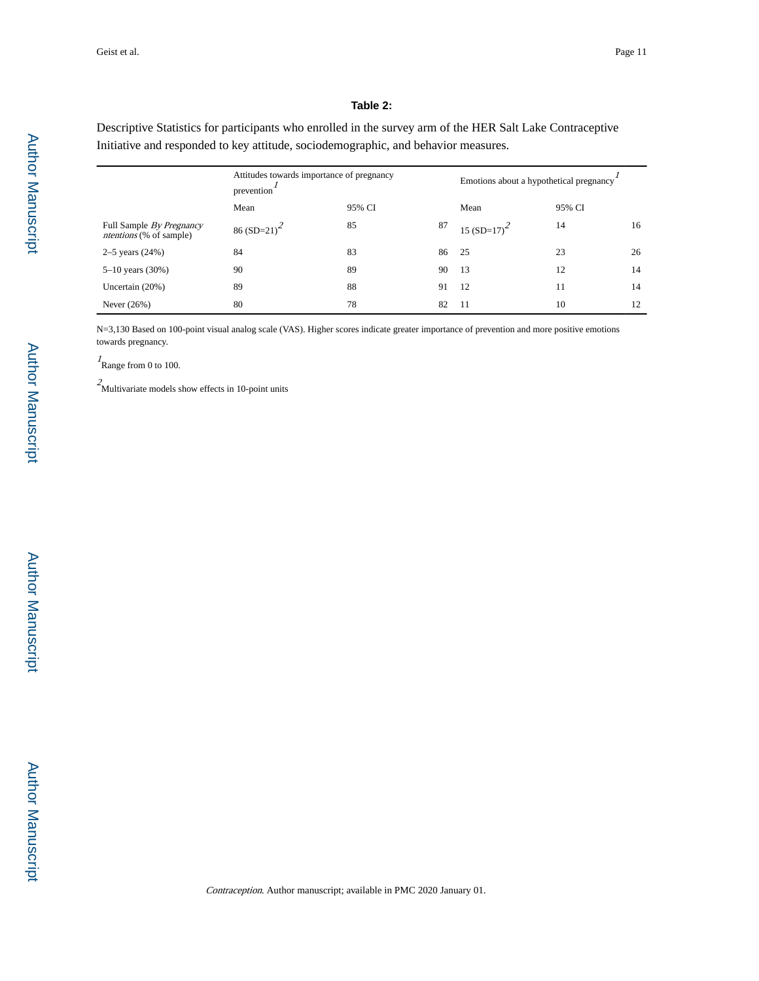#### **Table 2:**

Descriptive Statistics for participants who enrolled in the survey arm of the HER Salt Lake Contraceptive Initiative and responded to key attitude, sociodemographic, and behavior measures.

|                                                            | Attitudes towards importance of pregnancy<br>prevention |        | Emotions about a hypothetical pregnancy |                |        |    |
|------------------------------------------------------------|---------------------------------------------------------|--------|-----------------------------------------|----------------|--------|----|
|                                                            | Mean                                                    | 95% CI |                                         | Mean           | 95% CI |    |
| Full Sample By Pregnancy<br><i>ntentions</i> (% of sample) | $86(SD=21)^2$                                           | 85     | 87                                      | 15 $(SD=17)^2$ | 14     | 16 |
| 2–5 years $(24%)$                                          | 84                                                      | 83     | 86                                      | -25            | 23     | 26 |
| $5-10$ years $(30%)$                                       | 90                                                      | 89     | 90                                      | 13             | 12     | 14 |
| Uncertain $(20%)$                                          | 89                                                      | 88     | 91                                      | 12             | 11     | 14 |
| Never $(26%)$                                              | 80                                                      | 78     | 82                                      | -11            | 10     | 12 |

N=3,130 Based on 100-point visual analog scale (VAS). Higher scores indicate greater importance of prevention and more positive emotions towards pregnancy.

 $I_{\text{Range from 0 to 100}}$ 

 $\sqrt{2}$  Multivariate models show effects in 10-point units